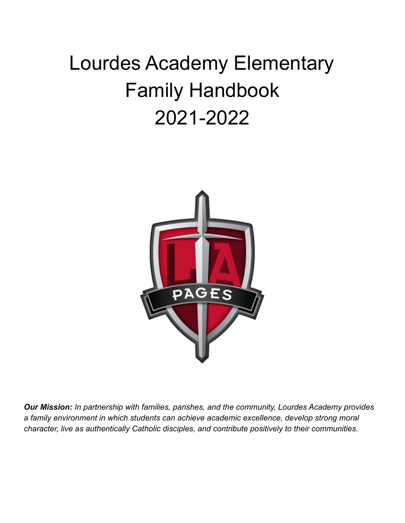# Lourdes Academy Elementary Family Handbook 2021-2022



*Our Mission: In partnership with families, parishes, and the community, Lourdes Academy provides a family environment in which students can achieve academic excellence, develop strong moral character, live as authentically Catholic disciples, and contribute positively to their communities.*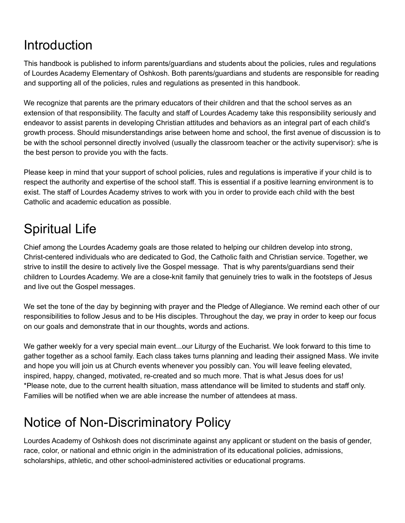## Introduction

This handbook is published to inform parents/guardians and students about the policies, rules and regulations of Lourdes Academy Elementary of Oshkosh. Both parents/guardians and students are responsible for reading and supporting all of the policies, rules and regulations as presented in this handbook.

We recognize that parents are the primary educators of their children and that the school serves as an extension of that responsibility. The faculty and staff of Lourdes Academy take this responsibility seriously and endeavor to assist parents in developing Christian attitudes and behaviors as an integral part of each child's growth process. Should misunderstandings arise between home and school, the first avenue of discussion is to be with the school personnel directly involved (usually the classroom teacher or the activity supervisor): s/he is the best person to provide you with the facts.

Please keep in mind that your support of school policies, rules and regulations is imperative if your child is to respect the authority and expertise of the school staff. This is essential if a positive learning environment is to exist. The staff of Lourdes Academy strives to work with you in order to provide each child with the best Catholic and academic education as possible.

## Spiritual Life

Chief among the Lourdes Academy goals are those related to helping our children develop into strong, Christ-centered individuals who are dedicated to God, the Catholic faith and Christian service. Together, we strive to instill the desire to actively live the Gospel message. That is why parents/guardians send their children to Lourdes Academy. We are a close-knit family that genuinely tries to walk in the footsteps of Jesus and live out the Gospel messages.

We set the tone of the day by beginning with prayer and the Pledge of Allegiance. We remind each other of our responsibilities to follow Jesus and to be His disciples. Throughout the day, we pray in order to keep our focus on our goals and demonstrate that in our thoughts, words and actions.

We gather weekly for a very special main event...our Liturgy of the Eucharist. We look forward to this time to gather together as a school family. Each class takes turns planning and leading their assigned Mass. We invite and hope you will join us at Church events whenever you possibly can. You will leave feeling elevated, inspired, happy, changed, motivated, re-created and so much more. That is what Jesus does for us! \*Please note, due to the current health situation, mass attendance will be limited to students and staff only. Families will be notified when we are able increase the number of attendees at mass.

## Notice of Non-Discriminatory Policy

Lourdes Academy of Oshkosh does not discriminate against any applicant or student on the basis of gender, race, color, or national and ethnic origin in the administration of its educational policies, admissions, scholarships, athletic, and other school-administered activities or educational programs.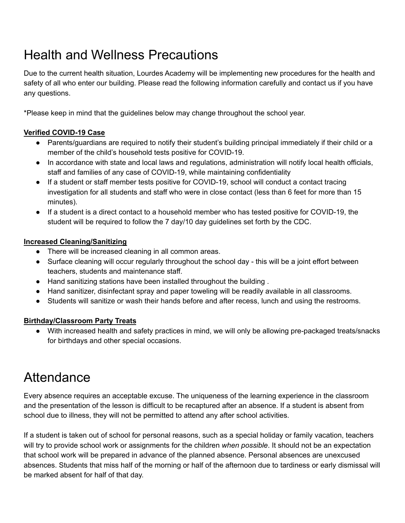## Health and Wellness Precautions

Due to the current health situation, Lourdes Academy will be implementing new procedures for the health and safety of all who enter our building. Please read the following information carefully and contact us if you have any questions.

\*Please keep in mind that the guidelines below may change throughout the school year.

### **Verified COVID-19 Case**

- Parents/guardians are required to notify their student's building principal immediately if their child or a member of the child's household tests positive for COVID-19.
- In accordance with state and local laws and regulations, administration will notify local health officials, staff and families of any case of COVID-19, while maintaining confidentiality
- If a student or staff member tests positive for COVID-19, school will conduct a contact tracing investigation for all students and staff who were in close contact (less than 6 feet for more than 15 minutes).
- If a student is a direct contact to a household member who has tested positive for COVID-19, the student will be required to follow the 7 day/10 day guidelines set forth by the CDC.

### **Increased Cleaning/Sanitizing**

- There will be increased cleaning in all common areas.
- Surface cleaning will occur regularly throughout the school day this will be a joint effort between teachers, students and maintenance staff.
- Hand sanitizing stations have been installed throughout the building.
- Hand sanitizer, disinfectant spray and paper toweling will be readily available in all classrooms.
- Students will sanitize or wash their hands before and after recess, lunch and using the restrooms.

### **Birthday/Classroom Party Treats**

**●** With increased health and safety practices in mind, we will only be allowing pre-packaged treats/snacks for birthdays and other special occasions.

### **Attendance**

Every absence requires an acceptable excuse. The uniqueness of the learning experience in the classroom and the presentation of the lesson is difficult to be recaptured after an absence. If a student is absent from school due to illness, they will not be permitted to attend any after school activities.

If a student is taken out of school for personal reasons, such as a special holiday or family vacation, teachers will try to provide school work or assignments for the children *when possible*. It should not be an expectation that school work will be prepared in advance of the planned absence. Personal absences are unexcused absences. Students that miss half of the morning or half of the afternoon due to tardiness or early dismissal will be marked absent for half of that day.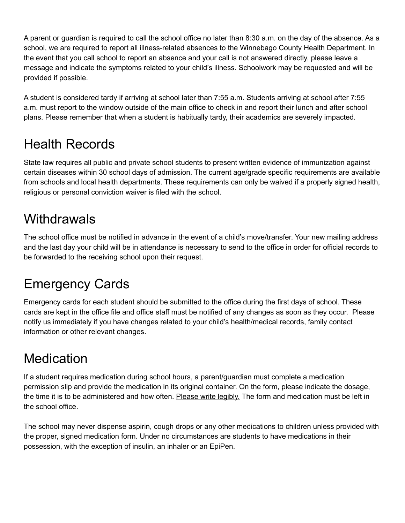A parent or guardian is required to call the school office no later than 8:30 a.m. on the day of the absence. As a school, we are required to report all illness-related absences to the Winnebago County Health Department. In the event that you call school to report an absence and your call is not answered directly, please leave a message and indicate the symptoms related to your child's illness. Schoolwork may be requested and will be provided if possible.

A student is considered tardy if arriving at school later than 7:55 a.m. Students arriving at school after 7:55 a.m. must report to the window outside of the main office to check in and report their lunch and after school plans. Please remember that when a student is habitually tardy, their academics are severely impacted.

## Health Records

State law requires all public and private school students to present written evidence of immunization against certain diseases within 30 school days of admission. The current age/grade specific requirements are available from schools and local health departments. These requirements can only be waived if a properly signed health, religious or personal conviction waiver is filed with the school.

## **Withdrawals**

The school office must be notified in advance in the event of a child's move/transfer. Your new mailing address and the last day your child will be in attendance is necessary to send to the office in order for official records to be forwarded to the receiving school upon their request.

## Emergency Cards

Emergency cards for each student should be submitted to the office during the first days of school. These cards are kept in the office file and office staff must be notified of any changes as soon as they occur. Please notify us immediately if you have changes related to your child's health/medical records, family contact information or other relevant changes.

## **Medication**

If a student requires medication during school hours, a parent/guardian must complete a medication permission slip and provide the medication in its original container. On the form, please indicate the dosage, the time it is to be administered and how often. Please write legibly. The form and medication must be left in the school office.

The school may never dispense aspirin, cough drops or any other medications to children unless provided with the proper, signed medication form. Under no circumstances are students to have medications in their possession, with the exception of insulin, an inhaler or an EpiPen.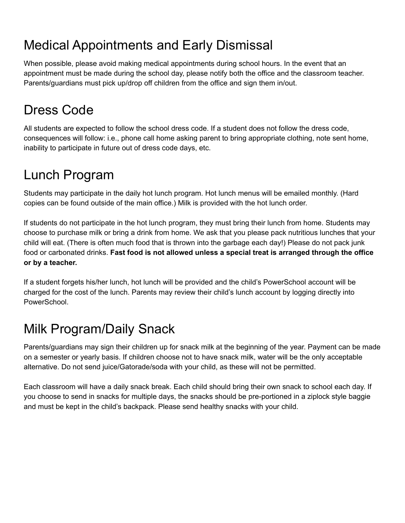## Medical Appointments and Early Dismissal

When possible, please avoid making medical appointments during school hours. In the event that an appointment must be made during the school day, please notify both the office and the classroom teacher. Parents/guardians must pick up/drop off children from the office and sign them in/out.

## Dress Code

All students are expected to follow the school dress code. If a student does not follow the dress code, consequences will follow: i.e., phone call home asking parent to bring appropriate clothing, note sent home, inability to participate in future out of dress code days, etc.

## Lunch Program

Students may participate in the daily hot lunch program. Hot lunch menus will be emailed monthly. (Hard copies can be found outside of the main office.) Milk is provided with the hot lunch order.

If students do not participate in the hot lunch program, they must bring their lunch from home. Students may choose to purchase milk or bring a drink from home. We ask that you please pack nutritious lunches that your child will eat. (There is often much food that is thrown into the garbage each day!) Please do not pack junk food or carbonated drinks. **Fast food is not allowed unless a special treat is arranged through the office or by a teacher.**

If a student forgets his/her lunch, hot lunch will be provided and the child's PowerSchool account will be charged for the cost of the lunch. Parents may review their child's lunch account by logging directly into PowerSchool.

## Milk Program/Daily Snack

Parents/guardians may sign their children up for snack milk at the beginning of the year. Payment can be made on a semester or yearly basis. If children choose not to have snack milk, water will be the only acceptable alternative. Do not send juice/Gatorade/soda with your child, as these will not be permitted.

Each classroom will have a daily snack break. Each child should bring their own snack to school each day. If you choose to send in snacks for multiple days, the snacks should be pre-portioned in a ziplock style baggie and must be kept in the child's backpack. Please send healthy snacks with your child.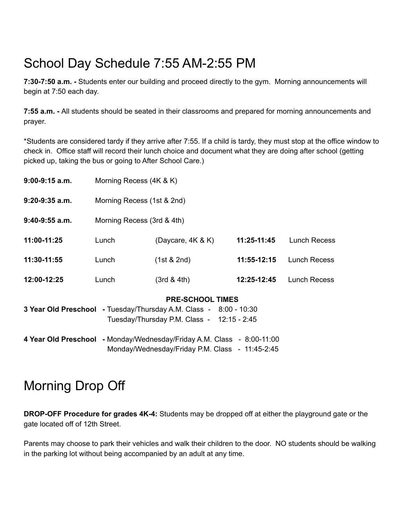## School Day Schedule 7:55 AM-2:55 PM

**7:30-7:50 a.m. -** Students enter our building and proceed directly to the gym. Morning announcements will begin at 7:50 each day.

**7:55 a.m. -** All students should be seated in their classrooms and prepared for morning announcements and prayer.

\*Students are considered tardy if they arrive after 7:55. If a child is tardy, they must stop at the office window to check in. Office staff will record their lunch choice and document what they are doing after school (getting picked up, taking the bus or going to After School Care.)

| $9:00-9:15$ a.m. | Morning Recess (4K & K)                                                                                                                    |                                                                                                                           |             |                     |
|------------------|--------------------------------------------------------------------------------------------------------------------------------------------|---------------------------------------------------------------------------------------------------------------------------|-------------|---------------------|
| $9:20-9:35$ a.m. | Morning Recess (1st & 2nd)                                                                                                                 |                                                                                                                           |             |                     |
| $9:40-9:55$ a.m. | Morning Recess (3rd & 4th)                                                                                                                 |                                                                                                                           |             |                     |
| 11:00-11:25      | Lunch                                                                                                                                      | (Daycare, $4K & K$ )                                                                                                      | 11:25-11:45 | <b>Lunch Recess</b> |
| 11:30-11:55      | Lunch                                                                                                                                      | (1st & 2nd)                                                                                                               | 11:55-12:15 | Lunch Recess        |
| 12:00-12:25      | Lunch                                                                                                                                      | (3rd & 4th)                                                                                                               | 12:25-12:45 | Lunch Recess        |
|                  | <b>PRE-SCHOOL TIMES</b><br>3 Year Old Preschool - Tuesday/Thursday A.M. Class - 8:00 - 10:30<br>Tuesday/Thursday P.M. Class - 12:15 - 2:45 |                                                                                                                           |             |                     |
|                  |                                                                                                                                            | 4 Year Old Preschool - Monday/Wednesday/Friday A.M. Class - 8:00-11:00<br>Monday/Wednesday/Friday P.M. Class - 11:45-2:45 |             |                     |

## Morning Drop Off

**DROP-OFF Procedure for grades 4K-4:** Students may be dropped off at either the playground gate or the gate located off of 12th Street.

Parents may choose to park their vehicles and walk their children to the door. NO students should be walking in the parking lot without being accompanied by an adult at any time.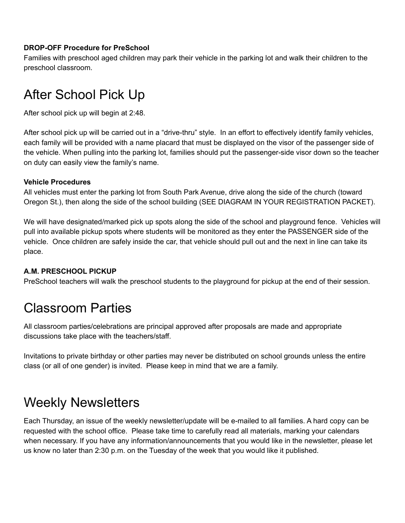#### **DROP-OFF Procedure for PreSchool**

Families with preschool aged children may park their vehicle in the parking lot and walk their children to the preschool classroom.

## After School Pick Up

After school pick up will begin at 2:48.

After school pick up will be carried out in a "drive-thru" style. In an effort to effectively identify family vehicles, each family will be provided with a name placard that must be displayed on the visor of the passenger side of the vehicle. When pulling into the parking lot, families should put the passenger-side visor down so the teacher on duty can easily view the family's name.

#### **Vehicle Procedures**

All vehicles must enter the parking lot from South Park Avenue, drive along the side of the church (toward Oregon St.), then along the side of the school building (SEE DIAGRAM IN YOUR REGISTRATION PACKET).

We will have designated/marked pick up spots along the side of the school and playground fence. Vehicles will pull into available pickup spots where students will be monitored as they enter the PASSENGER side of the vehicle. Once children are safely inside the car, that vehicle should pull out and the next in line can take its place.

### **A.M. PRESCHOOL PICKUP**

PreSchool teachers will walk the preschool students to the playground for pickup at the end of their session.

## Classroom Parties

All classroom parties/celebrations are principal approved after proposals are made and appropriate discussions take place with the teachers/staff.

Invitations to private birthday or other parties may never be distributed on school grounds unless the entire class (or all of one gender) is invited. Please keep in mind that we are a family.

### Weekly Newsletters

Each Thursday, an issue of the weekly newsletter/update will be e-mailed to all families. A hard copy can be requested with the school office. Please take time to carefully read all materials, marking your calendars when necessary. If you have any information/announcements that you would like in the newsletter, please let us know no later than 2:30 p.m. on the Tuesday of the week that you would like it published.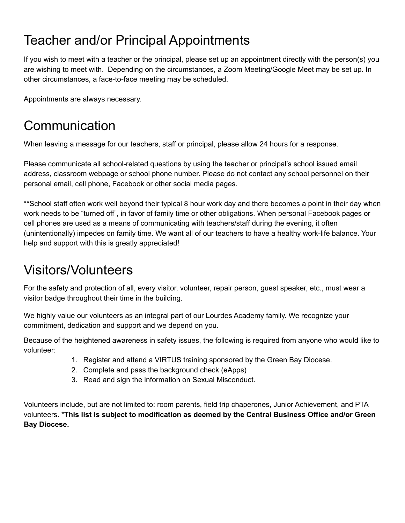## Teacher and/or Principal Appointments

If you wish to meet with a teacher or the principal, please set up an appointment directly with the person(s) you are wishing to meet with. Depending on the circumstances, a Zoom Meeting/Google Meet may be set up. In other circumstances, a face-to-face meeting may be scheduled.

Appointments are always necessary.

## Communication

When leaving a message for our teachers, staff or principal, please allow 24 hours for a response.

Please communicate all school-related questions by using the teacher or principal's school issued email address, classroom webpage or school phone number. Please do not contact any school personnel on their personal email, cell phone, Facebook or other social media pages.

\*\*School staff often work well beyond their typical 8 hour work day and there becomes a point in their day when work needs to be "turned off", in favor of family time or other obligations. When personal Facebook pages or cell phones are used as a means of communicating with teachers/staff during the evening, it often (unintentionally) impedes on family time. We want all of our teachers to have a healthy work-life balance. Your help and support with this is greatly appreciated!

## Visitors/Volunteers

For the safety and protection of all, every visitor, volunteer, repair person, guest speaker, etc., must wear a visitor badge throughout their time in the building.

We highly value our volunteers as an integral part of our Lourdes Academy family. We recognize your commitment, dedication and support and we depend on you.

Because of the heightened awareness in safety issues, the following is required from anyone who would like to volunteer:

- 1. Register and attend a VIRTUS training sponsored by the Green Bay Diocese.
- 2. Complete and pass the background check (eApps)
- 3. Read and sign the information on Sexual Misconduct.

Volunteers include, but are not limited to: room parents, field trip chaperones, Junior Achievement, and PTA volunteers. \***This list is subject to modification as deemed by the Central Business Office and/or Green Bay Diocese.**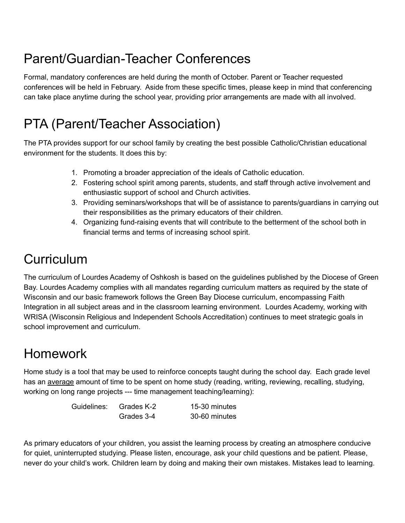## Parent/Guardian-Teacher Conferences

Formal, mandatory conferences are held during the month of October. Parent or Teacher requested conferences will be held in February. Aside from these specific times, please keep in mind that conferencing can take place anytime during the school year, providing prior arrangements are made with all involved.

## PTA (Parent/Teacher Association)

The PTA provides support for our school family by creating the best possible Catholic/Christian educational environment for the students. It does this by:

- 1. Promoting a broader appreciation of the ideals of Catholic education.
- 2. Fostering school spirit among parents, students, and staff through active involvement and enthusiastic support of school and Church activities.
- 3. Providing seminars/workshops that will be of assistance to parents/guardians in carrying out their responsibilities as the primary educators of their children.
- 4. Organizing fund-raising events that will contribute to the betterment of the school both in financial terms and terms of increasing school spirit.

## **Curriculum**

The curriculum of Lourdes Academy of Oshkosh is based on the guidelines published by the Diocese of Green Bay. Lourdes Academy complies with all mandates regarding curriculum matters as required by the state of Wisconsin and our basic framework follows the Green Bay Diocese curriculum, encompassing Faith Integration in all subject areas and in the classroom learning environment. Lourdes Academy, working with WRISA (Wisconsin Religious and Independent Schools Accreditation) continues to meet strategic goals in school improvement and curriculum.

## Homework

Home study is a tool that may be used to reinforce concepts taught during the school day. Each grade level has an average amount of time to be spent on home study (reading, writing, reviewing, recalling, studying, working on long range projects --- time management teaching/learning):

Guidelines: Grades K-2 15-30 minutes

Grades 3-4 30-60 minutes

As primary educators of your children, you assist the learning process by creating an atmosphere conducive for quiet, uninterrupted studying. Please listen, encourage, ask your child questions and be patient. Please, never do your child's work. Children learn by doing and making their own mistakes. Mistakes lead to learning.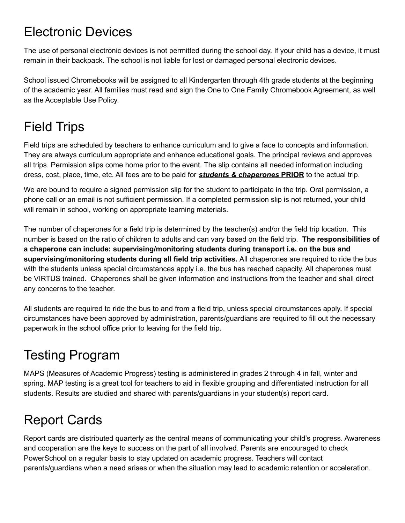## Electronic Devices

The use of personal electronic devices is not permitted during the school day. If your child has a device, it must remain in their backpack. The school is not liable for lost or damaged personal electronic devices.

School issued Chromebooks will be assigned to all Kindergarten through 4th grade students at the beginning of the academic year. All families must read and sign the One to One Family Chromebook Agreement, as well as the Acceptable Use Policy.

## Field Trips

Field trips are scheduled by teachers to enhance curriculum and to give a face to concepts and information. They are always curriculum appropriate and enhance educational goals. The principal reviews and approves all trips. Permission slips come home prior to the event. The slip contains all needed information including dress, cost, place, time, etc. All fees are to be paid for *students & chaperones* **PRIOR** to the actual trip.

We are bound to require a signed permission slip for the student to participate in the trip. Oral permission, a phone call or an email is not sufficient permission. If a completed permission slip is not returned, your child will remain in school, working on appropriate learning materials.

The number of chaperones for a field trip is determined by the teacher(s) and/or the field trip location. This number is based on the ratio of children to adults and can vary based on the field trip. **The responsibilities of a chaperone can include: supervising/monitoring students during transport i.e. on the bus and supervising/monitoring students during all field trip activities.** All chaperones are required to ride the bus with the students unless special circumstances apply i.e. the bus has reached capacity. All chaperones must be VIRTUS trained. Chaperones shall be given information and instructions from the teacher and shall direct any concerns to the teacher.

All students are required to ride the bus to and from a field trip, unless special circumstances apply. If special circumstances have been approved by administration, parents/guardians are required to fill out the necessary paperwork in the school office prior to leaving for the field trip.

## Testing Program

MAPS (Measures of Academic Progress) testing is administered in grades 2 through 4 in fall, winter and spring. MAP testing is a great tool for teachers to aid in flexible grouping and differentiated instruction for all students. Results are studied and shared with parents/guardians in your student(s) report card.

## Report Cards

Report cards are distributed quarterly as the central means of communicating your child's progress. Awareness and cooperation are the keys to success on the part of all involved. Parents are encouraged to check PowerSchool on a regular basis to stay updated on academic progress. Teachers will contact parents/guardians when a need arises or when the situation may lead to academic retention or acceleration.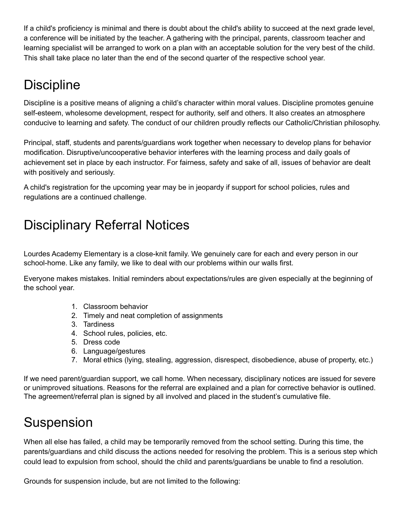If a child's proficiency is minimal and there is doubt about the child's ability to succeed at the next grade level, a conference will be initiated by the teacher. A gathering with the principal, parents, classroom teacher and learning specialist will be arranged to work on a plan with an acceptable solution for the very best of the child. This shall take place no later than the end of the second quarter of the respective school year.

## **Discipline**

Discipline is a positive means of aligning a child's character within moral values. Discipline promotes genuine self-esteem, wholesome development, respect for authority, self and others. It also creates an atmosphere conducive to learning and safety. The conduct of our children proudly reflects our Catholic/Christian philosophy.

Principal, staff, students and parents/guardians work together when necessary to develop plans for behavior modification. Disruptive/uncooperative behavior interferes with the learning process and daily goals of achievement set in place by each instructor. For fairness, safety and sake of all, issues of behavior are dealt with positively and seriously.

A child's registration for the upcoming year may be in jeopardy if support for school policies, rules and regulations are a continued challenge.

## Disciplinary Referral Notices

Lourdes Academy Elementary is a close-knit family. We genuinely care for each and every person in our school-home. Like any family, we like to deal with our problems within our walls first.

Everyone makes mistakes. Initial reminders about expectations/rules are given especially at the beginning of the school year.

- 1. Classroom behavior
- 2. Timely and neat completion of assignments
- 3. Tardiness
- 4. School rules, policies, etc.
- 5. Dress code
- 6. Language/gestures
- 7. Moral ethics (lying, stealing, aggression, disrespect, disobedience, abuse of property, etc.)

If we need parent/guardian support, we call home. When necessary, disciplinary notices are issued for severe or unimproved situations. Reasons for the referral are explained and a plan for corrective behavior is outlined. The agreement/referral plan is signed by all involved and placed in the student's cumulative file.

## Suspension

When all else has failed, a child may be temporarily removed from the school setting. During this time, the parents/guardians and child discuss the actions needed for resolving the problem. This is a serious step which could lead to expulsion from school, should the child and parents/guardians be unable to find a resolution.

Grounds for suspension include, but are not limited to the following: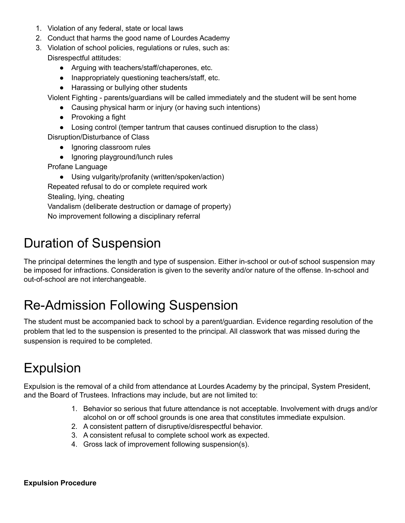- 1. Violation of any federal, state or local laws
- 2. Conduct that harms the good name of Lourdes Academy
- 3. Violation of school policies, regulations or rules, such as: Disrespectful attitudes:
	- Arguing with teachers/staff/chaperones, etc.
	- Inappropriately questioning teachers/staff, etc.
	- Harassing or bullying other students

Violent Fighting - parents/guardians will be called immediately and the student will be sent home

- Causing physical harm or injury (or having such intentions)
- Provoking a fight
- Losing control (temper tantrum that causes continued disruption to the class)

Disruption/Disturbance of Class

- Ignoring classroom rules
- Ignoring playground/lunch rules

Profane Language

● Using vulgarity/profanity (written/spoken/action)

Repeated refusal to do or complete required work

Stealing, lying, cheating

Vandalism (deliberate destruction or damage of property)

No improvement following a disciplinary referral

## Duration of Suspension

The principal determines the length and type of suspension. Either in-school or out-of school suspension may be imposed for infractions. Consideration is given to the severity and/or nature of the offense. In-school and out-of-school are not interchangeable.

## Re-Admission Following Suspension

The student must be accompanied back to school by a parent/guardian. Evidence regarding resolution of the problem that led to the suspension is presented to the principal. All classwork that was missed during the suspension is required to be completed.

## Expulsion

Expulsion is the removal of a child from attendance at Lourdes Academy by the principal, System President, and the Board of Trustees. Infractions may include, but are not limited to:

- 1. Behavior so serious that future attendance is not acceptable. Involvement with drugs and/or alcohol on or off school grounds is one area that constitutes immediate expulsion.
- 2. A consistent pattern of disruptive/disrespectful behavior.
- 3. A consistent refusal to complete school work as expected.
- 4. Gross lack of improvement following suspension(s).